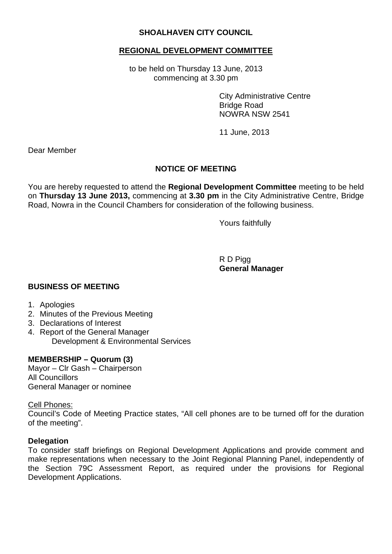### **SHOALHAVEN CITY COUNCIL**

### **REGIONAL DEVELOPMENT COMMITTEE**

to be held on Thursday 13 June, 2013 commencing at 3.30 pm

> City Administrative Centre Bridge Road NOWRA NSW 2541

11 June, 2013

Dear Member

### **NOTICE OF MEETING**

You are hereby requested to attend the **Regional Development Committee** meeting to be held on **Thursday 13 June 2013,** commencing at **3.30 pm** in the City Administrative Centre, Bridge Road, Nowra in the Council Chambers for consideration of the following business.

Yours faithfully

R D Pigg **General Manager**

#### **BUSINESS OF MEETING**

- 1. Apologies
- 2. Minutes of the Previous Meeting
- 3. Declarations of Interest
- 4. Report of the General Manager Development & Environmental Services

#### **MEMBERSHIP – Quorum (3)**

Mayor – Clr Gash – Chairperson All Councillors General Manager or nominee

#### Cell Phones:

Council's Code of Meeting Practice states, "All cell phones are to be turned off for the duration of the meeting".

#### **Delegation**

To consider staff briefings on Regional Development Applications and provide comment and make representations when necessary to the Joint Regional Planning Panel, independently of the Section 79C Assessment Report, as required under the provisions for Regional Development Applications.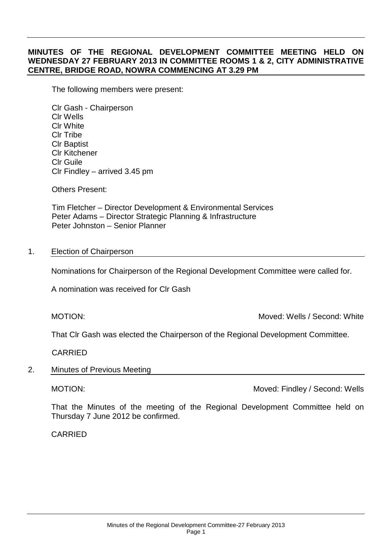### **MINUTES OF THE REGIONAL DEVELOPMENT COMMITTEE MEETING HELD ON WEDNESDAY 27 FEBRUARY 2013 IN COMMITTEE ROOMS 1 & 2, CITY ADMINISTRATIVE CENTRE, BRIDGE ROAD, NOWRA COMMENCING AT 3.29 PM**

The following members were present:

Clr Gash - Chairperson Clr Wells Clr White Clr Tribe Clr Baptist Clr Kitchener Clr Guile Clr Findley – arrived 3.45 pm

Others Present:

Tim Fletcher – Director Development & Environmental Services Peter Adams – Director Strategic Planning & Infrastructure Peter Johnston – Senior Planner

#### 1. Election of Chairperson

Nominations for Chairperson of the Regional Development Committee were called for.

A nomination was received for Clr Gash

MOTION: Moved: Wells / Second: White

That Clr Gash was elected the Chairperson of the Regional Development Committee.

CARRIED

2. Minutes of Previous Meeting

MOTION: Moved: Findley / Second: Wells

That the Minutes of the meeting of the Regional Development Committee held on Thursday 7 June 2012 be confirmed.

CARRIED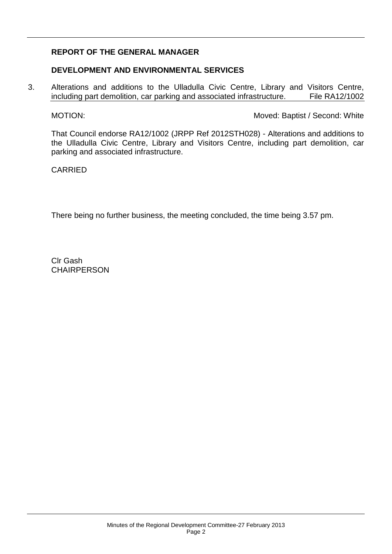### **REPORT OF THE GENERAL MANAGER**

#### **DEVELOPMENT AND ENVIRONMENTAL SERVICES**

3. Alterations and additions to the Ulladulla Civic Centre, Library and Visitors Centre, including part demolition, car parking and associated infrastructure. File RA12/1002

MOTION: MOTION: MOTION:

That Council endorse RA12/1002 (JRPP Ref 2012STH028) - Alterations and additions to the Ulladulla Civic Centre, Library and Visitors Centre, including part demolition, car parking and associated infrastructure.

CARRIED

There being no further business, the meeting concluded, the time being 3.57 pm.

Clr Gash **CHAIRPERSON**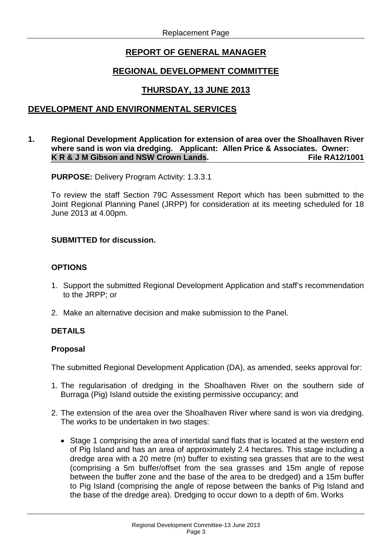# **REPORT OF GENERAL MANAGER**

## **REGIONAL DEVELOPMENT COMMITTEE**

# **THURSDAY, 13 JUNE 2013**

## **DEVELOPMENT AND ENVIRONMENTAL SERVICES**

#### **1. Regional Development Application for extension of area over the Shoalhaven River where sand is won via dredging. Applicant: Allen Price & Associates. Owner:**  K R & J M Gibson and NSW Crown Lands.

**PURPOSE:** Delivery Program Activity: 1.3.3.1

To review the staff Section 79C Assessment Report which has been submitted to the Joint Regional Planning Panel (JRPP) for consideration at its meeting scheduled for 18 June 2013 at 4.00pm.

#### **SUBMITTED for discussion.**

#### **OPTIONS**

- 1. Support the submitted Regional Development Application and staff's recommendation to the JRPP; or
- 2. Make an alternative decision and make submission to the Panel.

### **DETAILS**

#### **Proposal**

The submitted Regional Development Application (DA), as amended, seeks approval for:

- 1. The regularisation of dredging in the Shoalhaven River on the southern side of Burraga (Pig) Island outside the existing permissive occupancy; and
- 2. The extension of the area over the Shoalhaven River where sand is won via dredging. The works to be undertaken in two stages:
	- Stage 1 comprising the area of intertidal sand flats that is located at the western end of Pig Island and has an area of approximately 2.4 hectares. This stage including a dredge area with a 20 metre (m) buffer to existing sea grasses that are to the west (comprising a 5m buffer/offset from the sea grasses and 15m angle of repose between the buffer zone and the base of the area to be dredged) and a 15m buffer to Pig Island (comprising the angle of repose between the banks of Pig Island and the base of the dredge area). Dredging to occur down to a depth of 6m. Works